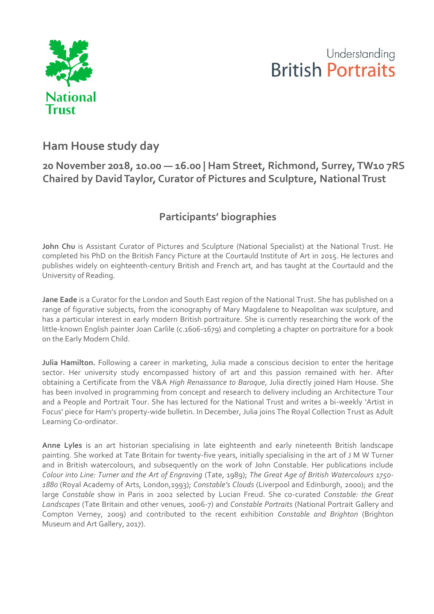

## Understanding **British Portraits**

## **Ham House study day**

## **20 November 2018, 10.00 — 16.00 | Ham Street, Richmond, Surrey, TW10 7RS Chaired by David Taylor, Curator of Pictures and Sculpture, National Trust**

## **Participants' biographies**

John Chu is Assistant Curator of Pictures and Sculpture (National Specialist) at the National Trust. He completed his PhD on the British Fancy Picture at the Courtauld Institute of Art in 2015. He lectures and publishes widely on eighteenth-century British and French art, and has taught at the Courtauld and the University of Reading.

**Jane Eade** is a Curator for the London and South East region of the National Trust. She has published on a range of figurative subjects, from the iconography of Mary Magdalene to Neapolitan wax sculpture, and has a particular interest in early modern British portraiture. She is currently researching the work of the little-known English painter Joan Carlile (c.1606-1679) and completing a chapter on portraiture for a book on the Early Modern Child.

**Julia Hamilton.** Following a career in marketing, Julia made a conscious decision to enter the heritage sector. Her university study encompassed history of art and this passion remained with her. After obtaining a Certificate from the V&A *High Renaissance to Baroque*, Julia directly joined Ham House. She has been involved in programming from concept and research to delivery including an Architecture Tour and a People and Portrait Tour. She has lectured for the National Trust and writes a bi-weekly 'Artist in Focus' piece for Ham's property-wide bulletin. In December, Julia joins The Royal Collection Trust as Adult Learning Co-ordinator.

**Anne Lyles** is an art historian specialising in late eighteenth and early nineteenth British landscape painting. She worked at Tate Britain for twenty-five years, initially specialising in the art of J M W Turner and in British watercolours, and subsequently on the work of John Constable. Her publications include *Colour into Line: Turner and the Art of Engraving* (Tate, 1989); *The Great Age of British Watercolours 1750- 1880* (Royal Academy of Arts, London,1993); *Constable's Clouds* (Liverpool and Edinburgh, 2000); and the large *Constable* show in Paris in 2002 selected by Lucian Freud. She co-curated *Constable: the Great Landscapes* (Tate Britain and other venues, 2006-7) and *Constable Portraits* (National Portrait Gallery and Compton Verney, 2009) and contributed to the recent exhibition *Constable and Brighton* (Brighton Museum and Art Gallery, 2017).